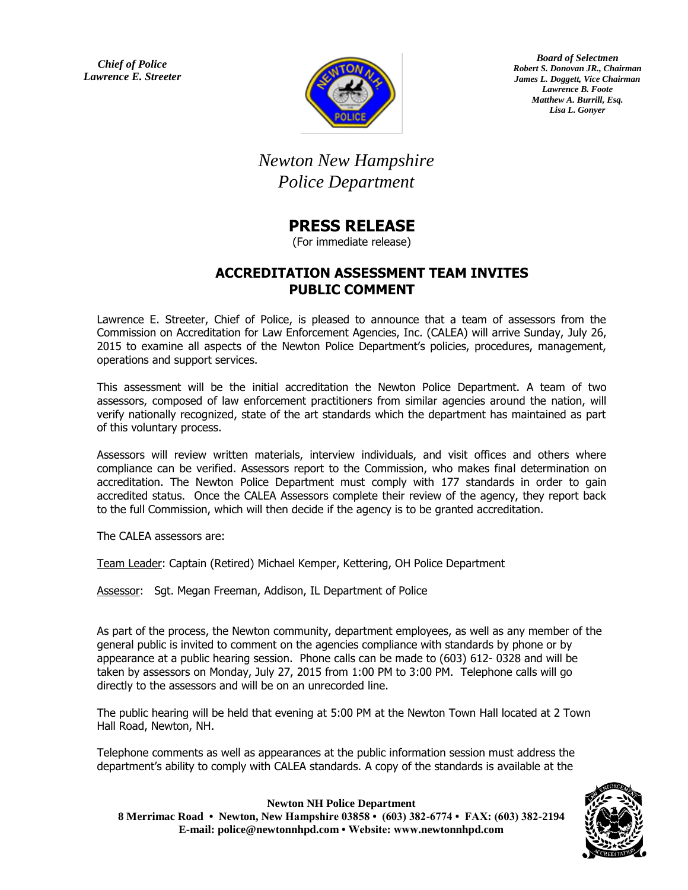*Chief of Police Lawrence E. Streeter*



*Board of Selectmen Robert S. Donovan JR., Chairman James L. Doggett, Vice Chairman Lawrence B. Foote Matthew A. Burrill, Esq. Lisa L. Gonyer*

## *Newton New Hampshire Police Department*

## **PRESS RELEASE**

(For immediate release)

## **ACCREDITATION ASSESSMENT TEAM INVITES PUBLIC COMMENT**

Lawrence E. Streeter, Chief of Police, is pleased to announce that a team of assessors from the Commission on Accreditation for Law Enforcement Agencies, Inc. (CALEA) will arrive Sunday, July 26, 2015 to examine all aspects of the Newton Police Department's policies, procedures, management, operations and support services.

This assessment will be the initial accreditation the Newton Police Department. A team of two assessors, composed of law enforcement practitioners from similar agencies around the nation, will verify nationally recognized, state of the art standards which the department has maintained as part of this voluntary process.

Assessors will review written materials, interview individuals, and visit offices and others where compliance can be verified. Assessors report to the Commission, who makes final determination on accreditation. The Newton Police Department must comply with 177 standards in order to gain accredited status. Once the CALEA Assessors complete their review of the agency, they report back to the full Commission, which will then decide if the agency is to be granted accreditation.

The CALEA assessors are:

Team Leader: Captain (Retired) Michael Kemper, Kettering, OH Police Department

Assessor: Sgt. Megan Freeman, Addison, IL Department of Police

As part of the process, the Newton community, department employees, as well as any member of the general public is invited to comment on the agencies compliance with standards by phone or by appearance at a public hearing session. Phone calls can be made to (603) 612- 0328 and will be taken by assessors on Monday, July 27, 2015 from 1:00 PM to 3:00 PM. Telephone calls will go directly to the assessors and will be on an unrecorded line.

The public hearing will be held that evening at 5:00 PM at the Newton Town Hall located at 2 Town Hall Road, Newton, NH.

Telephone comments as well as appearances at the public information session must address the department's ability to comply with CALEA standards. A copy of the standards is available at the



**Newton NH Police Department** 

**8 Merrimac Road • Newton, New Hampshire 03858 • (603) 382-6774 • FAX: (603) 382-2194 E-mail: police@newtonnhpd.com • Website: www.newtonnhpd.com**